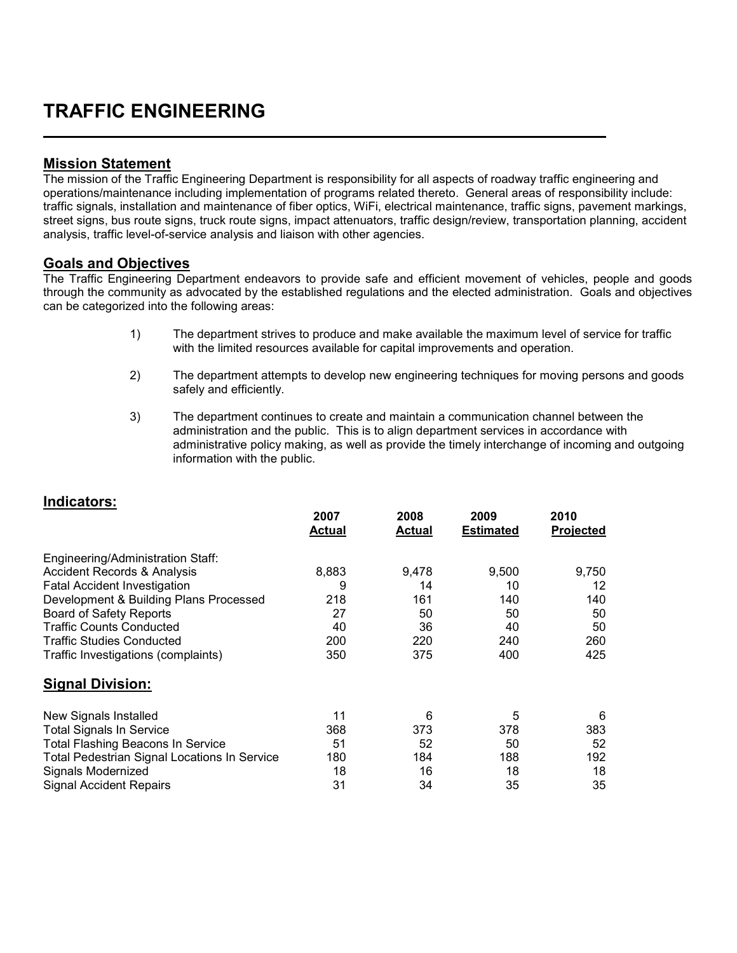## **TRAFFIC ENGINEERING**

## **Mission Statement**

The mission of the Traffic Engineering Department is responsibility for all aspects of roadway traffic engineering and operations/maintenance including implementation of programs related thereto. General areas of responsibility include: traffic signals, installation and maintenance of fiber optics, WiFi, electrical maintenance, traffic signs, pavement markings, street signs, bus route signs, truck route signs, impact attenuators, traffic design/review, transportation planning, accident analysis, traffic level-of-service analysis and liaison with other agencies.

## **Goals and Objectives**

**Indicators:**

The Traffic Engineering Department endeavors to provide safe and efficient movement of vehicles, people and goods through the community as advocated by the established regulations and the elected administration. Goals and objectives can be categorized into the following areas:

- 1) The department strives to produce and make available the maximum level of service for traffic with the limited resources available for capital improvements and operation.
- 2) The department attempts to develop new engineering techniques for moving persons and goods safely and efficiently.
- 3) The department continues to create and maintain a communication channel between the administration and the public. This is to align department services in accordance with administrative policy making, as well as provide the timely interchange of incoming and outgoing information with the public.

| indicators:                                  |                       |                       |                          |                   |
|----------------------------------------------|-----------------------|-----------------------|--------------------------|-------------------|
|                                              | 2007<br><b>Actual</b> | 2008<br><u>Actual</u> | 2009<br><b>Estimated</b> | 2010<br>Projected |
| Engineering/Administration Staff:            |                       |                       |                          |                   |
| Accident Records & Analysis                  | 8,883                 | 9.478                 | 9,500                    | 9,750             |
| <b>Fatal Accident Investigation</b>          | 9                     | 14                    | 10                       | 12                |
| Development & Building Plans Processed       | 218                   | 161                   | 140                      | 140               |
| <b>Board of Safety Reports</b>               | 27                    | 50                    | 50                       | 50                |
| Traffic Counts Conducted                     | 40                    | 36                    | 40                       | 50                |
| Traffic Studies Conducted                    | 200                   | 220                   | 240                      | 260               |
| Traffic Investigations (complaints)          | 350                   | 375                   | 400                      | 425               |
| Signal Division:                             |                       |                       |                          |                   |
| New Signals Installed                        | 11                    | 6                     | 5                        | 6                 |
| <b>Total Signals In Service</b>              | 368                   | 373                   | 378                      | 383               |
| Total Flashing Beacons In Service            | 51                    | 52                    | 50                       | 52                |
| Total Pedestrian Signal Locations In Service | 180                   | 184                   | 188                      | 192               |
| Signals Modernized                           | 18                    | 16                    | 18                       | 18                |
| Signal Accident Repairs                      | 31                    | 34                    | 35                       | 35                |
|                                              |                       |                       |                          |                   |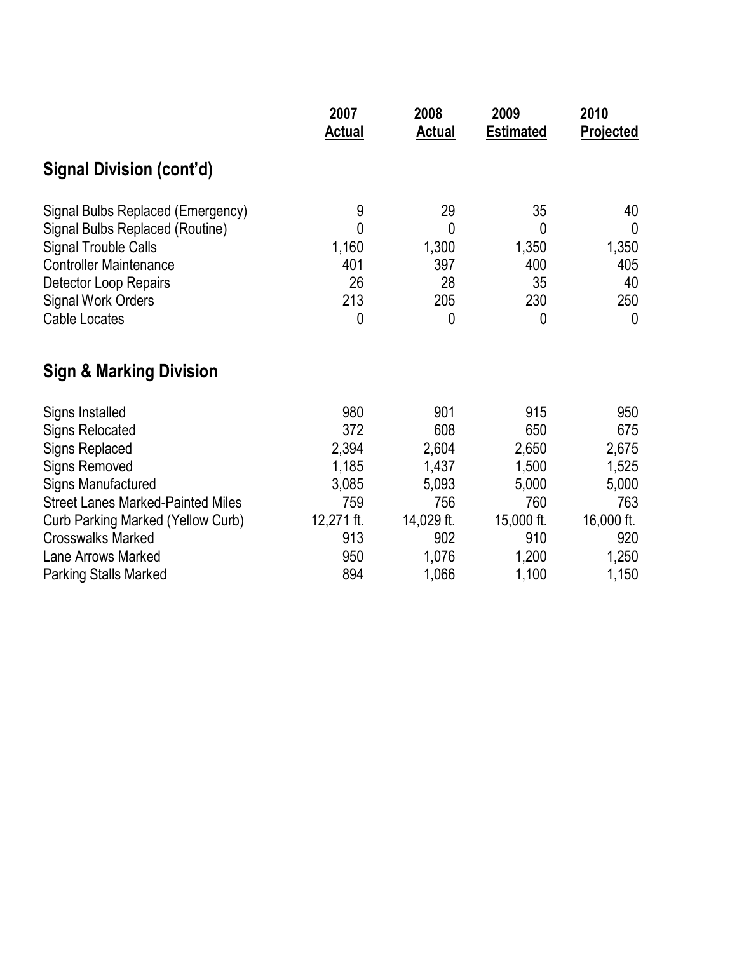| 2007<br><b>Actual</b>                                                    | 2008<br><b>Actual</b>                                                      | 2009<br><b>Estimated</b>                                                   | 2010<br><b>Projected</b>                                                   |
|--------------------------------------------------------------------------|----------------------------------------------------------------------------|----------------------------------------------------------------------------|----------------------------------------------------------------------------|
|                                                                          |                                                                            |                                                                            |                                                                            |
| 9<br>0<br>1,160<br>401<br>26<br>213<br>0                                 | 29<br>0<br>1,300<br>397<br>28<br>205<br>0                                  | 35<br>0<br>1,350<br>400<br>35<br>230<br>0                                  | 40<br>$\mathbf 0$<br>1,350<br>405<br>40<br>250<br>$\mathbf{0}$             |
|                                                                          |                                                                            |                                                                            |                                                                            |
| 980<br>372<br>2,394<br>1,185<br>3,085<br>759<br>12,271 ft.<br>913<br>950 | 901<br>608<br>2,604<br>1,437<br>5,093<br>756<br>14,029 ft.<br>902<br>1,076 | 915<br>650<br>2,650<br>1,500<br>5,000<br>760<br>15,000 ft.<br>910<br>1,200 | 950<br>675<br>2,675<br>1,525<br>5,000<br>763<br>16,000 ft.<br>920<br>1,250 |
|                                                                          |                                                                            |                                                                            | 1,150                                                                      |
|                                                                          | 894                                                                        | 1,066                                                                      | 1,100                                                                      |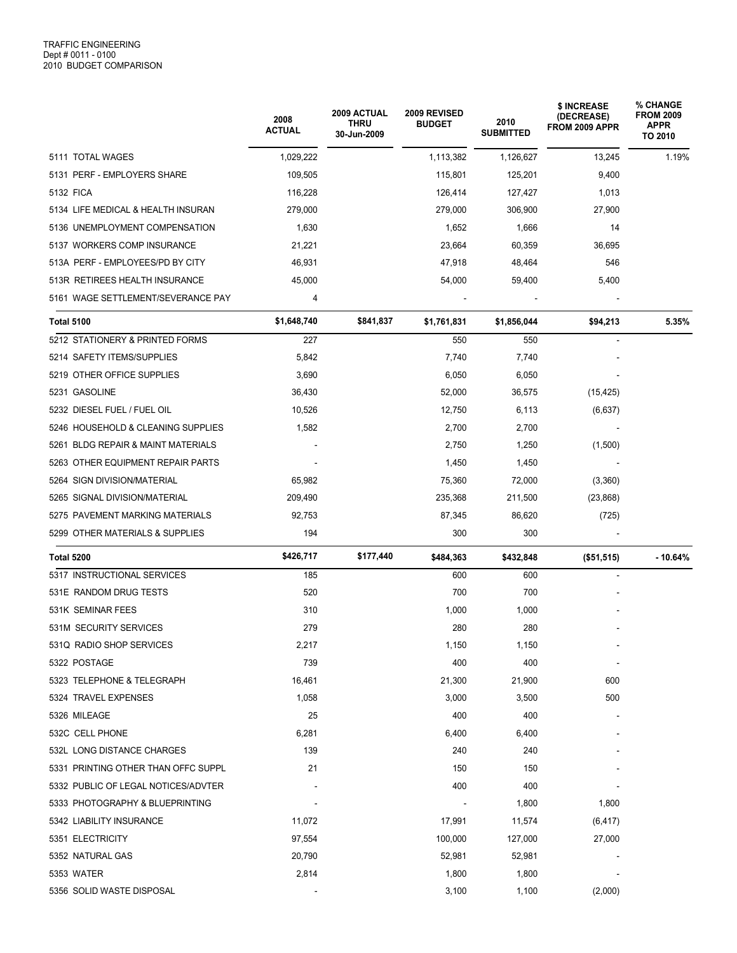|                                     | 2008<br><b>ACTUAL</b> | 2009 ACTUAL<br>THRU<br>30-Jun-2009 | 2009 REVISED<br><b>BUDGET</b> | 2010<br><b>SUBMITTED</b> | \$ INCREASE<br>(DECREASE)<br>FROM 2009 APPR | % CHANGE<br><b>FROM 2009</b><br><b>APPR</b><br>TO 2010 |
|-------------------------------------|-----------------------|------------------------------------|-------------------------------|--------------------------|---------------------------------------------|--------------------------------------------------------|
| 5111 TOTAL WAGES                    | 1,029,222             |                                    | 1,113,382                     | 1,126,627                | 13,245                                      | 1.19%                                                  |
| 5131 PERF - EMPLOYERS SHARE         | 109,505               |                                    | 115,801                       | 125,201                  | 9,400                                       |                                                        |
| 5132 FICA                           | 116,228               |                                    | 126,414                       | 127,427                  | 1,013                                       |                                                        |
| 5134 LIFE MEDICAL & HEALTH INSURAN  | 279,000               |                                    | 279,000                       | 306,900                  | 27,900                                      |                                                        |
| 5136 UNEMPLOYMENT COMPENSATION      | 1,630                 |                                    | 1,652                         | 1,666                    | 14                                          |                                                        |
| 5137 WORKERS COMP INSURANCE         | 21,221                |                                    | 23,664                        | 60,359                   | 36,695                                      |                                                        |
| 513A PERF - EMPLOYEES/PD BY CITY    | 46,931                |                                    | 47,918                        | 48,464                   | 546                                         |                                                        |
| 513R RETIREES HEALTH INSURANCE      | 45,000                |                                    | 54,000                        | 59,400                   | 5,400                                       |                                                        |
| 5161 WAGE SETTLEMENT/SEVERANCE PAY  | 4                     |                                    |                               |                          |                                             |                                                        |
| <b>Total 5100</b>                   | \$1,648,740           | \$841,837                          | \$1,761,831                   | \$1,856,044              | \$94,213                                    | 5.35%                                                  |
| 5212 STATIONERY & PRINTED FORMS     | 227                   |                                    | 550                           | 550                      |                                             |                                                        |
| 5214 SAFETY ITEMS/SUPPLIES          | 5,842                 |                                    | 7,740                         | 7,740                    |                                             |                                                        |
| 5219 OTHER OFFICE SUPPLIES          | 3,690                 |                                    | 6,050                         | 6,050                    |                                             |                                                        |
| 5231 GASOLINE                       | 36,430                |                                    | 52,000                        | 36,575                   | (15, 425)                                   |                                                        |
| 5232 DIESEL FUEL / FUEL OIL         | 10,526                |                                    | 12,750                        | 6,113                    | (6,637)                                     |                                                        |
| 5246 HOUSEHOLD & CLEANING SUPPLIES  | 1,582                 |                                    | 2,700                         | 2,700                    |                                             |                                                        |
| 5261 BLDG REPAIR & MAINT MATERIALS  |                       |                                    | 2,750                         | 1,250                    | (1,500)                                     |                                                        |
| 5263 OTHER EQUIPMENT REPAIR PARTS   |                       |                                    | 1,450                         | 1,450                    |                                             |                                                        |
| 5264 SIGN DIVISION/MATERIAL         | 65,982                |                                    | 75,360                        | 72,000                   | (3,360)                                     |                                                        |
| 5265 SIGNAL DIVISION/MATERIAL       | 209,490               |                                    | 235,368                       | 211,500                  | (23, 868)                                   |                                                        |
| 5275 PAVEMENT MARKING MATERIALS     | 92,753                |                                    | 87,345                        | 86,620                   | (725)                                       |                                                        |
| 5299 OTHER MATERIALS & SUPPLIES     | 194                   |                                    | 300                           | 300                      |                                             |                                                        |
| Total 5200                          | \$426,717             | \$177,440                          | \$484,363                     | \$432,848                | ( \$51, 515)                                | $-10.64%$                                              |
| 5317 INSTRUCTIONAL SERVICES         | 185                   |                                    | 600                           | 600                      |                                             |                                                        |
| 531E RANDOM DRUG TESTS              | 520                   |                                    | 700                           | 700                      |                                             |                                                        |
| 531K SEMINAR FEES                   | 310                   |                                    | 1,000                         | 1,000                    |                                             |                                                        |
| 531M SECURITY SERVICES              | 279                   |                                    | 280                           | 280                      |                                             |                                                        |
| 531Q RADIO SHOP SERVICES            | 2,217                 |                                    | 1,150                         | 1,150                    |                                             |                                                        |
| 5322 POSTAGE                        | 739                   |                                    | 400                           | 400                      |                                             |                                                        |
| 5323 TELEPHONE & TELEGRAPH          | 16,461                |                                    | 21,300                        | 21,900                   | 600                                         |                                                        |
| 5324 TRAVEL EXPENSES                | 1,058                 |                                    | 3,000                         | 3,500                    | 500                                         |                                                        |
| 5326 MILEAGE                        | 25                    |                                    | 400                           | 400                      |                                             |                                                        |
| 532C CELL PHONE                     | 6,281                 |                                    | 6,400                         | 6,400                    |                                             |                                                        |
| 532L LONG DISTANCE CHARGES          | 139                   |                                    | 240                           | 240                      |                                             |                                                        |
| 5331 PRINTING OTHER THAN OFFC SUPPL | 21                    |                                    | 150                           | 150                      |                                             |                                                        |
| 5332 PUBLIC OF LEGAL NOTICES/ADVTER |                       |                                    | 400                           | 400                      |                                             |                                                        |
| 5333 PHOTOGRAPHY & BLUEPRINTING     |                       |                                    |                               | 1,800                    | 1,800                                       |                                                        |
| 5342 LIABILITY INSURANCE            | 11,072                |                                    | 17,991                        | 11,574                   | (6, 417)                                    |                                                        |
| 5351 ELECTRICITY                    | 97,554                |                                    | 100,000                       | 127,000                  | 27,000                                      |                                                        |
| 5352 NATURAL GAS                    | 20,790                |                                    | 52,981                        | 52,981                   |                                             |                                                        |
| 5353 WATER                          | 2,814                 |                                    | 1,800                         | 1,800                    |                                             |                                                        |
| 5356 SOLID WASTE DISPOSAL           |                       |                                    | 3,100                         | 1,100                    | (2,000)                                     |                                                        |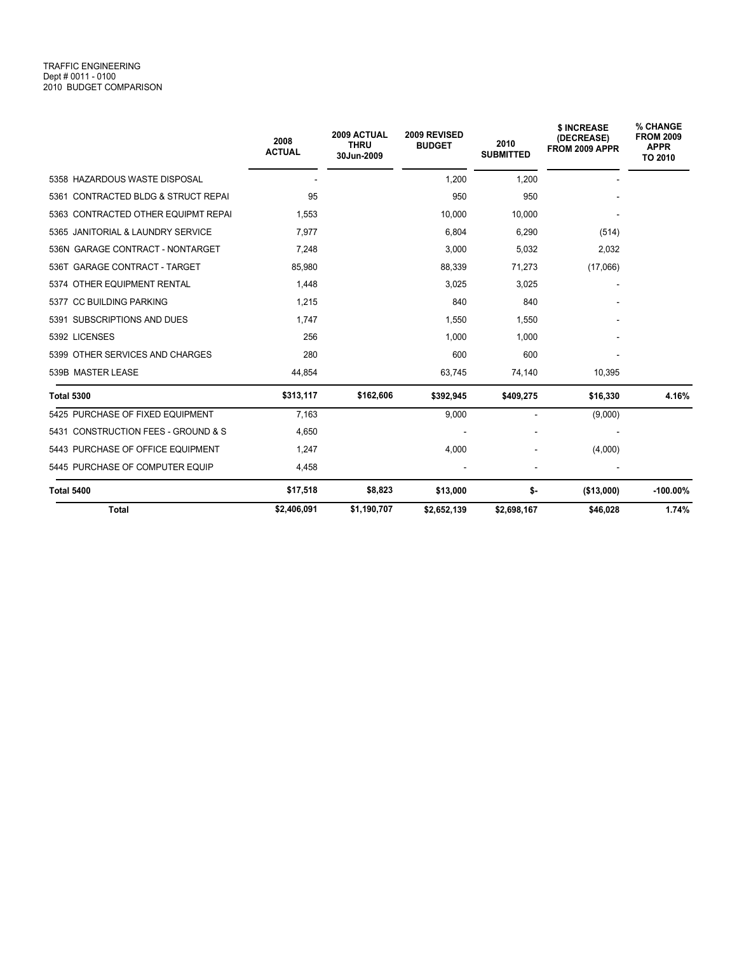## TRAFFIC ENGINEERING Dept # 0011 - 0100 2010 BUDGET COMPARISON

|                                     | 2008<br><b>ACTUAL</b> | 2009 ACTUAL<br><b>THRU</b><br>30Jun-2009 | 2009 REVISED<br><b>BUDGET</b> | 2010<br><b>SUBMITTED</b> | \$ INCREASE<br>(DECREASE)<br>FROM 2009 APPR | % CHANGE<br><b>FROM 2009</b><br><b>APPR</b><br>TO 2010 |
|-------------------------------------|-----------------------|------------------------------------------|-------------------------------|--------------------------|---------------------------------------------|--------------------------------------------------------|
| 5358 HAZARDOUS WASTE DISPOSAL       |                       |                                          | 1,200                         | 1,200                    |                                             |                                                        |
| 5361 CONTRACTED BLDG & STRUCT REPAI | 95                    |                                          | 950                           | 950                      |                                             |                                                        |
| 5363 CONTRACTED OTHER EQUIPMT REPAI | 1,553                 |                                          | 10,000                        | 10,000                   |                                             |                                                        |
| 5365 JANITORIAL & LAUNDRY SERVICE   | 7.977                 |                                          | 6,804                         | 6,290                    | (514)                                       |                                                        |
| 536N GARAGE CONTRACT - NONTARGET    | 7.248                 |                                          | 3,000                         | 5,032                    | 2,032                                       |                                                        |
| 536T GARAGE CONTRACT - TARGET       | 85,980                |                                          | 88,339                        | 71,273                   | (17,066)                                    |                                                        |
| 5374 OTHER EQUIPMENT RENTAL         | 1,448                 |                                          | 3,025                         | 3,025                    |                                             |                                                        |
| 5377 CC BUILDING PARKING            | 1,215                 |                                          | 840                           | 840                      |                                             |                                                        |
| 5391 SUBSCRIPTIONS AND DUES         | 1.747                 |                                          | 1,550                         | 1.550                    |                                             |                                                        |
| 5392 LICENSES                       | 256                   |                                          | 1,000                         | 1,000                    |                                             |                                                        |
| 5399 OTHER SERVICES AND CHARGES     | 280                   |                                          | 600                           | 600                      |                                             |                                                        |
| 539B MASTER LEASE                   | 44,854                |                                          | 63,745                        | 74,140                   | 10,395                                      |                                                        |
| <b>Total 5300</b>                   | \$313,117             | \$162,606                                | \$392,945                     | \$409,275                | \$16,330                                    | 4.16%                                                  |
| 5425 PURCHASE OF FIXED EQUIPMENT    | 7,163                 |                                          | 9,000                         | $\blacksquare$           | (9,000)                                     |                                                        |
| 5431 CONSTRUCTION FEES - GROUND & S | 4,650                 |                                          |                               |                          |                                             |                                                        |
| 5443 PURCHASE OF OFFICE EQUIPMENT   | 1,247                 |                                          | 4,000                         |                          | (4,000)                                     |                                                        |
| 5445 PURCHASE OF COMPUTER EQUIP     | 4,458                 |                                          |                               |                          |                                             |                                                        |
| <b>Total 5400</b>                   | \$17,518              | \$8,823                                  | \$13,000                      | \$-                      | (\$13,000)                                  | $-100.00\%$                                            |
| <b>Total</b>                        | \$2,406,091           | \$1,190,707                              | \$2,652,139                   | \$2,698,167              | \$46,028                                    | 1.74%                                                  |